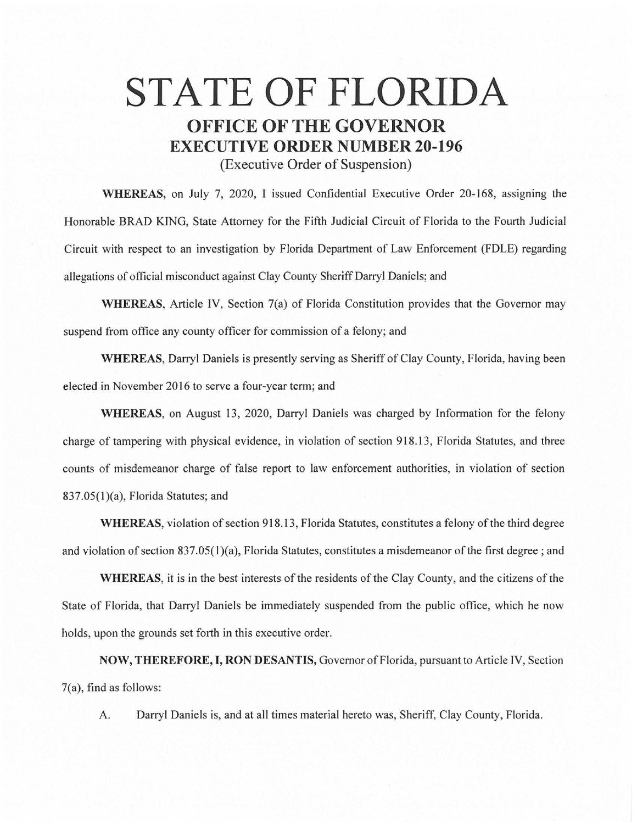# **STATE OF FLORIDA OFFICE OF THE GOVERNOR EXECUTIVE ORDER NUMBER 20-196**

(Executive Order of Suspension)

**WHEREAS,** on July 7, 2020, I issued Confidential Executive Order 20-168, assigning the Honorable BRAD KING, State Attorney for the Fifth Judicial Circuit of Florida to the Fourth Judicial Circuit with respect to an investigation by Florida Department of Law Enforcement (FDLE) regarding allegations of official misconduct against Clay County Sheriff Darryl Daniels; and

**WHEREAS,** Article IV, Section 7(a) of Florida Constitution provides that the Governor may suspend from office any county officer for commission of a felony; and

**WHEREAS,** Darryl Daniels is presently serving as Sheriff of Clay County, Florida, having been elected in November 2016 to serve a four-year term; and

**WHEREAS,** on August 13, 2020, Darryl Daniels was charged by Information for the felony charge of tampering with physical evidence, in violation of section 918.13, Florida Statutes, and three counts of misdemeanor charge of false report to law enforcement authorities, in violation of section 837.0S(l)(a), Florida Statutes; and

WHEREAS, violation of section 918.13, Florida Statutes, constitutes a felony of the third degree and violation of section 837 .05(1 )(a), Florida Statutes, constitutes a misdemeanor of the first degree ; and

**WHEREAS,** it is in the best interests of the residents of the Clay County, and the citizens of the State of Florida, that Darryl Daniels be immediately suspended from the public office, which he now holds, upon the grounds set forth in this executive order.

**NOW, THEREFORE, I, RON DESANTIS,** Governor of Florida, pursuant to Article IV, Section 7(a), find as follows:

A. Darryl Daniels is, and at all times material hereto was, Sheriff, Clay County, Florida.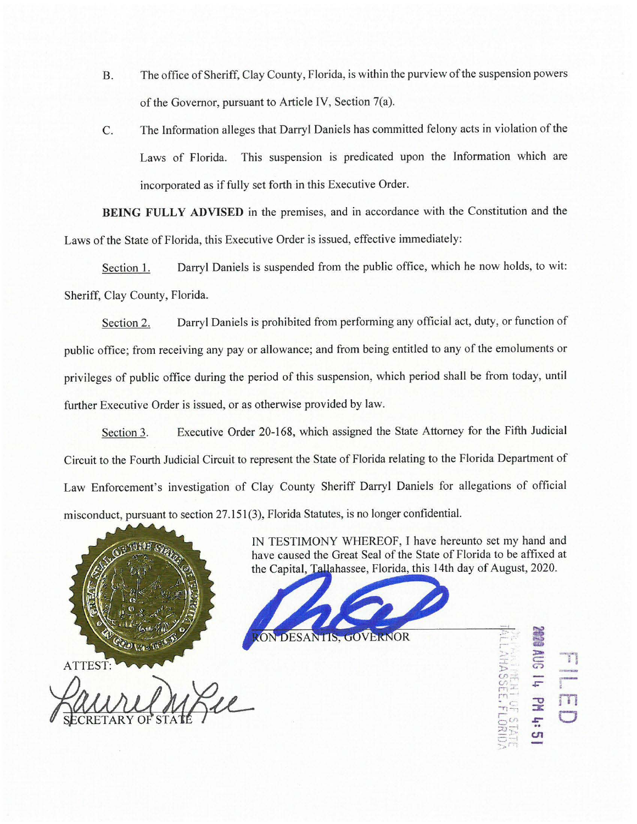- B. The office of Sheriff, Clay County, Florida, is within the purview of the suspension powers of the Governor, pursuant to Article IV, Section 7(a).
- C. The Information alleges that Darryl Daniels has committed felony acts in violation of the Laws of Florida. This suspension is predicated upon the Information which are incorporated as if fully set forth in this Executive Order.

**BEING FULLY ADVISED** in the premises, and in accordance with the Constitution and the Laws of the State of Florida, this Executive Order is issued, effective immediately:

Section 1. Darryl Daniels is suspended from the public office, which he now holds, to wit: Sheriff, Clay County, Florida.

Section 2. Darryl Daniels is prohibited from performing any official act, duty, or function of public office; from receiving any pay or allowance; and from being entitled to any of the emoluments or privileges of public office during the period of this suspension, which period shall be from today, until further Executive Order is issued, or as otherwise provided by law.

Section 3. Executive Order 20-168, which assigned the State Attorney for the Fifth Judicial Circuit to the Fourth Judicial Circuit to represent the State of Florida relating to the Florida Department of Law Enforcement's investigation of Clay County Sheriff Darryl Daniels for allegations of official misconduct, pursuant to section 27.151(3), Florida Statutes, is no longer confidential.



ATTEST:<br>
WWWWWARZEL<br>
SECRETARY OF STATE PL

IN TESTIMONY WHEREOF, I have hereunto set my hand and have caused the Great Seal of the State of Florida to be affixed at the Capital, Tallahassee, Florida, this 14th day of August, 2020.



-, **i** *.:-..* r· **r-·**  第5章 D  $r_{\rm T}$  –  $\overline{5}$  $\mathcal{F}$  $\frac{125}{121}$  **c U1**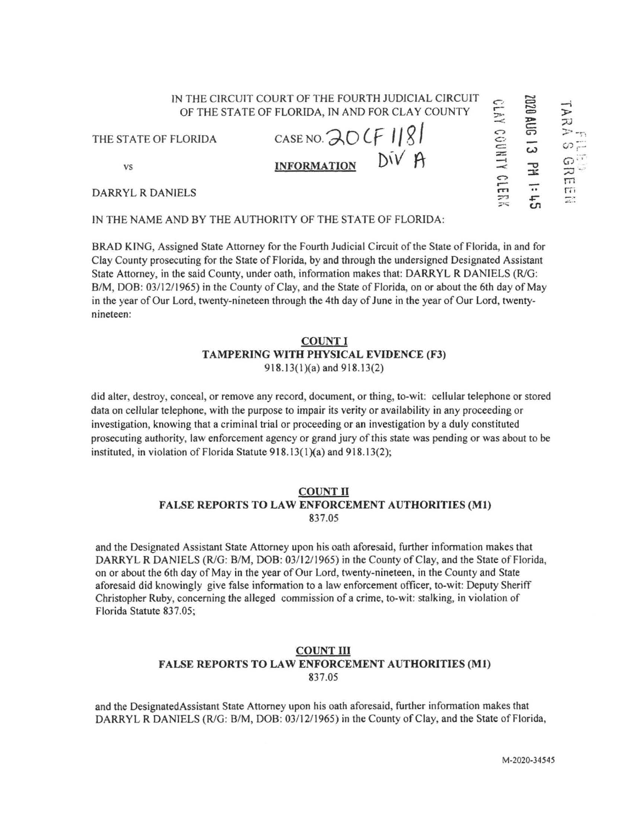IN THE NAME AND BY THE AUTHORITY OF THE STATE OF FLORIDA:

BRAD KING, Assigned State Attorney for the Fourth Judicial Circuit of the State of Florida, in and for Clay County prosecuting for the State of Florida, by and through the undersigned Designated Assistant State Attorney, in the said County, under oath, information makes that: DARRYL R DANIELS (R/G: B/M, DOB: 03/12/1965) in the County of Clay, and the State of Florida, on or about the 6th day of May in the year of Our Lord, twenty-nineteen through the 4th day of June in the year of Our Lord, twentynineteen:

#### **COUNT! TAMPERING WITH PHYSICAL EVIDENCE (F3)**  918.13(1)(a) and 918.13(2)

did alter, destroy, conceal, or remove any record, document, or thing, to-wit: cellular telephone or stored data on cellular telephone, with the purpose to impair its verity or availability in any proceeding or investigation, knowing that a criminal trial or proceeding or an investigation by a duly constituted prosecuting authority, law enforcement agency or grand jury of this state was pending or was about to be instituted, in violation of Florida Statute 918.13(1)(a) and 918.13(2);

### **COUNT** II **FALSE REPORTS TO LAW ENFORCEMENT AUTHORITIES (Ml)**  837.05

and the Designated Assistant State Attorney upon his oath aforesaid, further infonnation makes that DARRYL R DANIELS (R/G: B/M, DOB: 03/12/1965) in the County of Clay, and the State of Florida, on or about the 6th day of May in the year of Our Lord, twenty-nineteen, in the County and State aforesaid did knowingly give false information to a law enforcement officer, to-wit: Deputy Sheriff Christopher Ruby, concerning the alleged commission of a crime, to-wit: stalking, in violation of Florida Statute 837.05;

### **COUNTIII FALSE REPORTS TO LAW ENFORCEMENT AUTHORITIES (Ml)**  837.05

and the DesignatedAssistant State Attorney upon his oath aforesaid, further infonnation makes that DARRYL R DANIELS (R/G: B/M, DOB: 03/12/1965) in the County of Clay, and the State of Florida,

IN THE CIRCUIT COURT OF THE FOURTH JUDICIAL CIRCUIT **1020 AUG** OF THE STATE OF FLORIDA, IN AND FOR CLAY COUNTY  $\approx$   $\approx$ THE STATE OF FLORIDA CASE NO.  $30$  CF 1181  $\overline{c}$  $V$  **INFORMATION**  $\overline{D}V$   $\overline{A}$   $\overline{=}$   $\overline{Q}$  $\Omega$ ,,-- - DARRYL R DANIELS rn .. 7' ,s:- ;;1~ **(./1** 

:Ji:

 $\overline{\phantom{a}}$  $\frac{8}{10}$ ......  $\mathcal{P}$  -r)  $\circ$  $\Omega$ <sup>...</sup>  $\frac{1}{2}$ m rn  $\overline{u}$ .